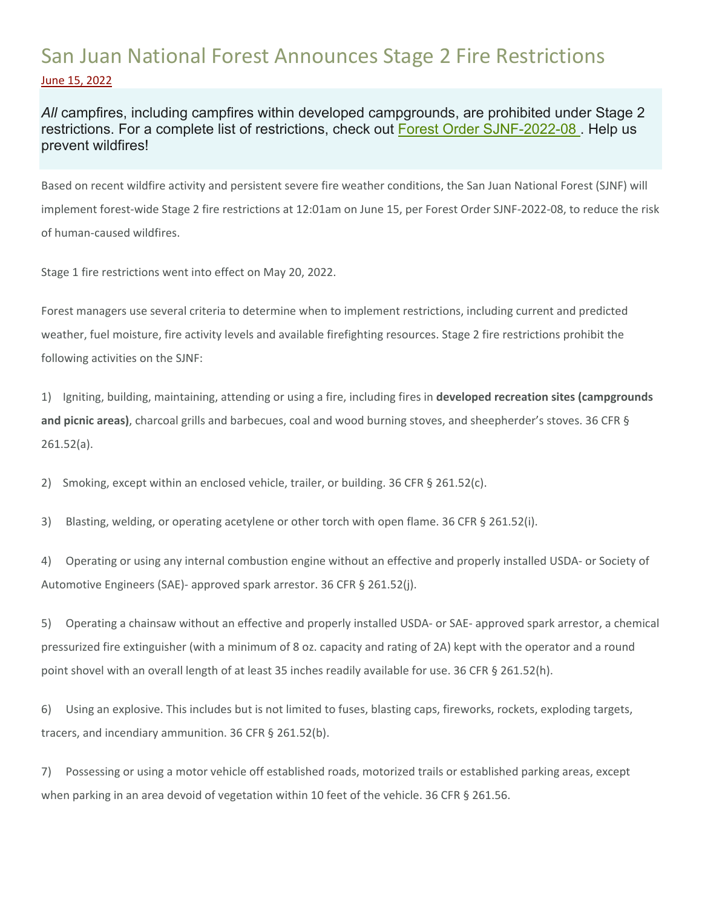## San Juan National Forest Announces Stage 2 Fire Restrictions June 15, 2022

*All* campfires, including campfires within developed campgrounds, are prohibited under Stage 2 restrictions. For a complete list of restrictions, check out Forest Order SJNF-2022-08. Help us prevent wildfires!

Based on recent wildfire activity and persistent severe fire weather conditions, the San Juan National Forest (SJNF) will implement forest‐wide Stage 2 fire restrictions at 12:01am on June 15, per Forest Order SJNF‐2022‐08, to reduce the risk of human‐caused wildfires.

Stage 1 fire restrictions went into effect on May 20, 2022.

Forest managers use several criteria to determine when to implement restrictions, including current and predicted weather, fuel moisture, fire activity levels and available firefighting resources. Stage 2 fire restrictions prohibit the following activities on the SJNF:

1) Igniting, building, maintaining, attending or using a fire, including fires in **developed recreation sites (campgrounds and picnic areas)**, charcoal grills and barbecues, coal and wood burning stoves, and sheepherder's stoves. 36 CFR § 261.52(a).

2) Smoking, except within an enclosed vehicle, trailer, or building. 36 CFR § 261.52(c).

3) Blasting, welding, or operating acetylene or other torch with open flame. 36 CFR § 261.52(i).

4) Operating or using any internal combustion engine without an effective and properly installed USDA- or Society of Automotive Engineers (SAE)‐ approved spark arrestor. 36 CFR § 261.52(j).

5) Operating a chainsaw without an effective and properly installed USDA- or SAE- approved spark arrestor, a chemical pressurized fire extinguisher (with a minimum of 8 oz. capacity and rating of 2A) kept with the operator and a round point shovel with an overall length of at least 35 inches readily available for use. 36 CFR § 261.52(h).

6) Using an explosive. This includes but is not limited to fuses, blasting caps, fireworks, rockets, exploding targets, tracers, and incendiary ammunition. 36 CFR § 261.52(b).

7) Possessing or using a motor vehicle off established roads, motorized trails or established parking areas, except when parking in an area devoid of vegetation within 10 feet of the vehicle. 36 CFR § 261.56.